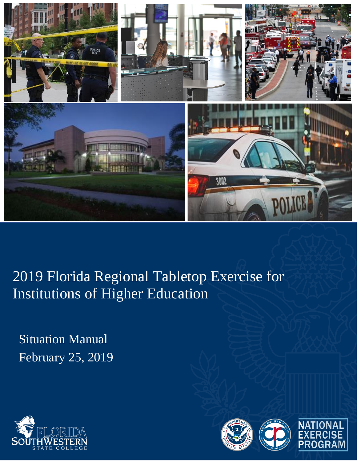

2019 Florida Regional Tabletop Exercise for Institutions of Higher Education

Situation Manual February 25, 2019



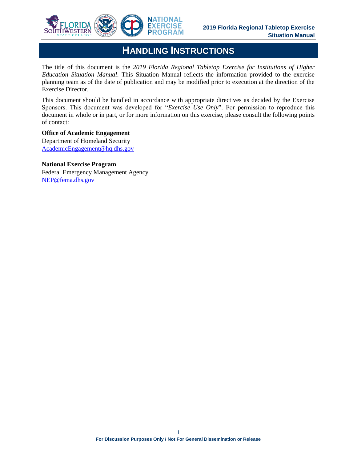

## **HANDLING INSTRUCTIONS**

The title of this document is the *2019 Florida Regional Tabletop Exercise for Institutions of Higher Education Situation Manual*. This Situation Manual reflects the information provided to the exercise planning team as of the date of publication and may be modified prior to execution at the direction of the Exercise Director.

This document should be handled in accordance with appropriate directives as decided by the Exercise Sponsors. This document was developed for "*Exercise Use Only*". For permission to reproduce this document in whole or in part, or for more information on this exercise, please consult the following points of contact:

### **Office of Academic Engagement**

Department of Homeland Security AcademicEngagement@hq.dhs.gov

### **National Exercise Program**

Federal Emergency Management Agency NEP@fema.dhs.gov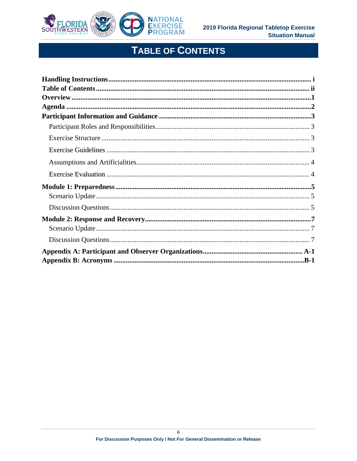

# **TABLE OF CONTENTS**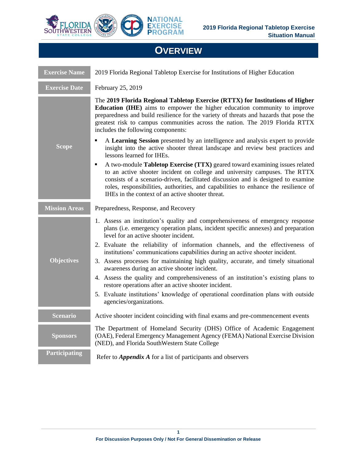

## **OVERVIEW**

| <b>Exercise Name</b> | 2019 Florida Regional Tabletop Exercise for Institutions of Higher Education                                                                                                                                                                                                                                                                                                                                                                                                                                        |
|----------------------|---------------------------------------------------------------------------------------------------------------------------------------------------------------------------------------------------------------------------------------------------------------------------------------------------------------------------------------------------------------------------------------------------------------------------------------------------------------------------------------------------------------------|
| <b>Exercise Date</b> | February 25, 2019                                                                                                                                                                                                                                                                                                                                                                                                                                                                                                   |
|                      | The 2019 Florida Regional Tabletop Exercise (RTTX) for Institutions of Higher<br>Education (IHE) aims to empower the higher education community to improve<br>preparedness and build resilience for the variety of threats and hazards that pose the<br>greatest risk to campus communities across the nation. The 2019 Florida RTTX<br>includes the following components:                                                                                                                                          |
| <b>Scope</b>         | A Learning Session presented by an intelligence and analysis expert to provide<br>٠<br>insight into the active shooter threat landscape and review best practices and<br>lessons learned for IHEs.                                                                                                                                                                                                                                                                                                                  |
|                      | A two-module Tabletop Exercise (TTX) geared toward examining issues related<br>٠<br>to an active shooter incident on college and university campuses. The RTTX<br>consists of a scenario-driven, facilitated discussion and is designed to examine<br>roles, responsibilities, authorities, and capabilities to enhance the resilience of<br>IHEs in the context of an active shooter threat.                                                                                                                       |
| <b>Mission Areas</b> | Preparedness, Response, and Recovery                                                                                                                                                                                                                                                                                                                                                                                                                                                                                |
| <b>Objectives</b>    | 1. Assess an institution's quality and comprehensiveness of emergency response<br>plans (i.e. emergency operation plans, incident specific annexes) and preparation<br>level for an active shooter incident.<br>2. Evaluate the reliability of information channels, and the effectiveness of<br>institutions' communications capabilities during an active shooter incident.<br>3. Assess processes for maintaining high quality, accurate, and timely situational<br>awareness during an active shooter incident. |
|                      | 4. Assess the quality and comprehensiveness of an institution's existing plans to<br>restore operations after an active shooter incident.<br>5. Evaluate institutions' knowledge of operational coordination plans with outside<br>agencies/organizations.                                                                                                                                                                                                                                                          |
| <b>Scenario</b>      | Active shooter incident coinciding with final exams and pre-commencement events                                                                                                                                                                                                                                                                                                                                                                                                                                     |
| <b>Sponsors</b>      | The Department of Homeland Security (DHS) Office of Academic Engagement<br>(OAE), Federal Emergency Management Agency (FEMA) National Exercise Division<br>(NED), and Florida SouthWestern State College                                                                                                                                                                                                                                                                                                            |
| Participating        | Refer to <i>Appendix A</i> for a list of participants and observers                                                                                                                                                                                                                                                                                                                                                                                                                                                 |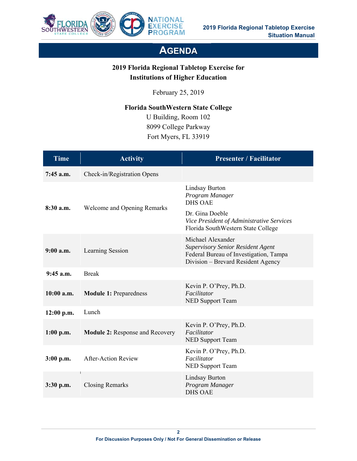

## **AGENDA**

## **2019 Florida Regional Tabletop Exercise for Institutions of Higher Education**

February 25, 2019

**Florida SouthWestern State College** 

 U Building, Room 102 8099 College Parkway Fort Myers, FL 33919

| <b>Time</b>  | <b>Activity</b>                        | <b>Presenter / Facilitator</b>                                                                                                                |
|--------------|----------------------------------------|-----------------------------------------------------------------------------------------------------------------------------------------------|
| $7:45$ a.m.  | Check-in/Registration Opens            |                                                                                                                                               |
| $8:30$ a.m.  | Welcome and Opening Remarks            | Lindsay Burton<br>Program Manager<br><b>DHS OAE</b>                                                                                           |
|              |                                        | Dr. Gina Doeble<br>Vice President of Administrative Services<br>Florida SouthWestern State College                                            |
| $9:00$ a.m.  | Learning Session                       | Michael Alexander<br><b>Supervisory Senior Resident Agent</b><br>Federal Bureau of Investigation, Tampa<br>Division – Brevard Resident Agency |
| $9:45$ a.m.  | <b>Break</b>                           |                                                                                                                                               |
| $10:00$ a.m. | <b>Module 1: Preparedness</b>          | Kevin P. O'Prey, Ph.D.<br>Facilitator<br>NED Support Team                                                                                     |
| 12:00 p.m.   | Lunch                                  |                                                                                                                                               |
| $1:00$ p.m.  | <b>Module 2: Response and Recovery</b> | Kevin P. O'Prey, Ph.D.<br>Facilitator<br>NED Support Team                                                                                     |
| $3:00$ p.m.  | <b>After-Action Review</b>             | Kevin P. O'Prey, Ph.D.<br>Facilitator<br><b>NED Support Team</b>                                                                              |
| $3:30$ p.m.  | <b>Closing Remarks</b>                 | <b>Lindsay Burton</b><br>Program Manager<br><b>DHS OAE</b>                                                                                    |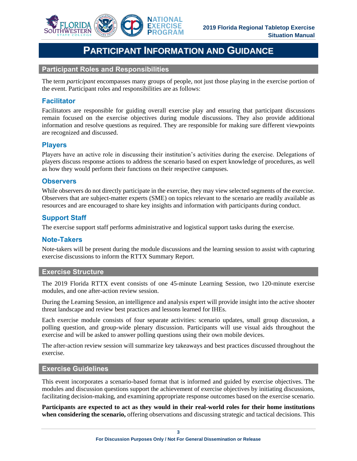

## **PARTICIPANT INFORMATION AND GUIDANCE**

#### **Participant Roles and Responsibilities**

The term *participant* encompasses many groups of people, not just those playing in the exercise portion of the event. Participant roles and responsibilities are as follows:

## **Facilitator**

 Facilitators are responsible for guiding overall exercise play and ensuring that participant discussions remain focused on the exercise objectives during module discussions. They also provide additional information and resolve questions as required. They are responsible for making sure different viewpoints are recognized and discussed.

### **Players**

Players have an active role in discussing their institution's activities during the exercise. Delegations of players discuss response actions to address the scenario based on expert knowledge of procedures, as well as how they would perform their functions on their respective campuses.

### **Observers**

 While observers do not directly participate in the exercise, they may view selected segments of the exercise. Observers that are subject-matter experts (SME) on topics relevant to the scenario are readily available as resources and are encouraged to share key insights and information with participants during conduct.

## **Support Staff**

The exercise support staff performs administrative and logistical support tasks during the exercise.

### **Note-Takers**

Note-takers will be present during the module discussions and the learning session to assist with capturing exercise discussions to inform the RTTX Summary Report.

#### **Exercise Structure**

The 2019 Florida RTTX event consists of one 45-minute Learning Session, two 120-minute exercise modules, and one after-action review session.

 During the Learning Session, an intelligence and analysis expert will provide insight into the active shooter threat landscape and review best practices and lessons learned for IHEs.

 polling question, and group-wide plenary discussion. Participants will use visual aids throughout the Each exercise module consists of four separate activities: scenario updates, small group discussion, a exercise and will be asked to answer polling questions using their own mobile devices.

The after-action review session will summarize key takeaways and best practices discussed throughout the exercise.

### **Exercise Guidelines**

 This event incorporates a scenario-based format that is informed and guided by exercise objectives. The modules and discussion questions support the achievement of exercise objectives by initiating discussions, facilitating decision-making, and examining appropriate response outcomes based on the exercise scenario.

 **Participants are expected to act as they would in their real-world roles for their home institutions when considering the scenario,** offering observations and discussing strategic and tactical decisions. This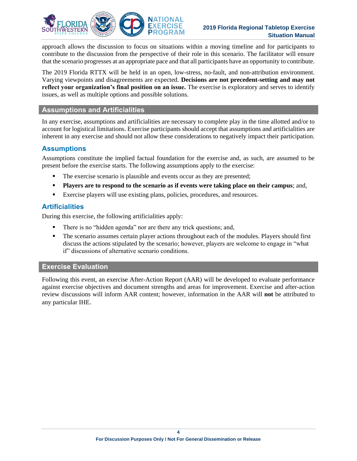

### **2019 Florida Regional Tabletop Exercise Situation Manual**

 approach allows the discussion to focus on situations within a moving timeline and for participants to contribute to the discussion from the perspective of their role in this scenario. The facilitator will ensure that the scenario progresses at an appropriate pace and that all participants have an opportunity to contribute.

 The 2019 Florida RTTX will be held in an open, low-stress, no-fault, and non-attribution environment.  **reflect your organization's final position on an issue.** The exercise is exploratory and serves to identify Varying viewpoints and disagreements are expected. **Decisions are not precedent-setting and may not**  issues, as well as multiple options and possible solutions.

#### **Assumptions and Artificialities**

 In any exercise, assumptions and artificialities are necessary to complete play in the time allotted and/or to account for logistical limitations. Exercise participants should accept that assumptions and artificialities are inherent in any exercise and should not allow these considerations to negatively impact their participation.

## **Assumptions**

 Assumptions constitute the implied factual foundation for the exercise and, as such, are assumed to be present before the exercise starts. The following assumptions apply to the exercise:

- The exercise scenario is plausible and events occur as they are presented;
- **Players are to respond to the scenario as if events were taking place on their campus**; and,
- Exercise players will use existing plans, policies, procedures, and resources.

## **Artificialities**

During this exercise, the following artificialities apply:

- **•** There is no "hidden agenda" nor are there any trick questions; and,
- **•** The scenario assumes certain player actions throughout each of the modules. Players should first discuss the actions stipulated by the scenario; however, players are welcome to engage in "what if" discussions of alternative scenario conditions.

## **Exercise Evaluation**

Following this event, an exercise After-Action Report (AAR) will be developed to evaluate performance against exercise objectives and document strengths and areas for improvement. Exercise and after-action review discussions will inform AAR content; however, information in the AAR will **not** be attributed to any particular IHE.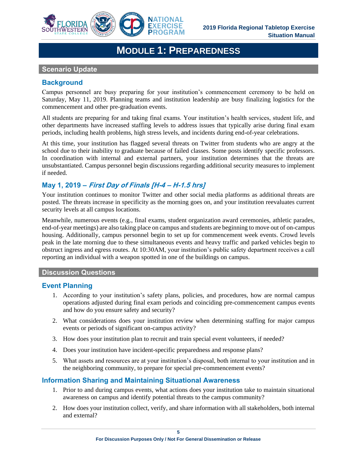

## **MODULE 1: PREPAREDNESS**

#### **Scenario Update**

## **Background**

Campus personnel are busy preparing for your institution's commencement ceremony to be held on Saturday, May 11, 2019. Planning teams and institution leadership are busy finalizing logistics for the commencement and other pre-graduation events.

All students are preparing for and taking final exams. Your institution's health services, student life, and other departments have increased staffing levels to address issues that typically arise during final exam periods, including health problems, high stress levels, and incidents during end-of-year celebrations.

At this time, your institution has flagged several threats on Twitter from students who are angry at the school due to their inability to graduate because of failed classes. Some posts identify specific professors. In coordination with internal and external partners, your institution determines that the threats are unsubstantiated. Campus personnel begin discussions regarding additional security measures to implement if needed.

## **May 1, 2019 – First Day of Finals [H-4 – H-1.5 hrs]**

 posted. The threats increase in specificity as the morning goes on, and your institution reevaluates current Your institution continues to monitor Twitter and other social media platforms as additional threats are security levels at all campus locations.

 Meanwhile, numerous events (e.g., final exams, student organization award ceremonies, athletic parades, end-of-year meetings) are also taking place on campus and students are beginning to move out of on-campus housing. Additionally, campus personnel begin to set up for commencement week events. Crowd levels peak in the late morning due to these simultaneous events and heavy traffic and parked vehicles begin to obstruct ingress and egress routes. At 10:30AM, your institution's public safety department receives a call reporting an individual with a weapon spotted in one of the buildings on campus.

### **Discussion Questions**

### **Event Planning**

- 1. According to your institution's safety plans, policies, and procedures, how are normal campus operations adjusted during final exam periods and coinciding pre-commencement campus events and how do you ensure safety and security?
- 2. What considerations does your institution review when determining staffing for major campus events or periods of significant on-campus activity?
- 3. How does your institution plan to recruit and train special event volunteers, if needed?
- 4. Does your institution have incident-specific preparedness and response plans?
- 5. What assets and resources are at your institution's disposal, both internal to your institution and in the neighboring community, to prepare for special pre-commencement events?

## **Information Sharing and Maintaining Situational Awareness**

- 1. Prior to and during campus events, what actions does your institution take to maintain situational awareness on campus and identify potential threats to the campus community?
- 2. How does your institution collect, verify, and share information with all stakeholders, both internal and external?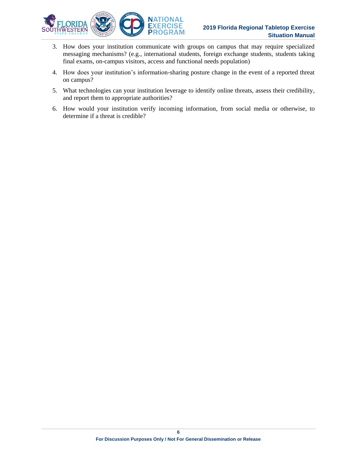

- 3. How does your institution communicate with groups on campus that may require specialized messaging mechanisms? (e.g., international students, foreign exchange students, students taking final exams, on-campus visitors, access and functional needs population)
- 4. How does your institution's information-sharing posture change in the event of a reported threat on campus?
- 5. What technologies can your institution leverage to identify online threats, assess their credibility, and report them to appropriate authorities?
- 6. How would your institution verify incoming information, from social media or otherwise, to determine if a threat is credible?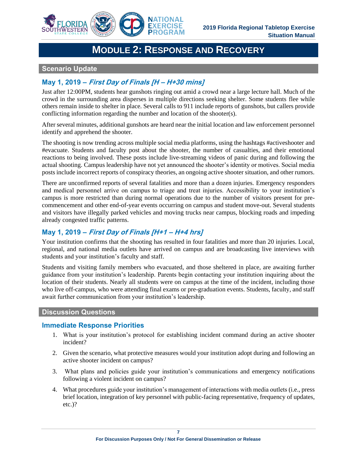

## **MODULE 2: RESPONSE AND RECOVERY**

## **Scenario Update**

## **May 1, 2019 – First Day of Finals [H – H+30 mins]**

 crowd in the surrounding area disperses in multiple directions seeking shelter. Some students flee while others remain inside to shelter in place. Several calls to 911 include reports of gunshots, but callers provide Just after 12:00PM, students hear gunshots ringing out amid a crowd near a large lecture hall. Much of the conflicting information regarding the number and location of the shooter(s).

 After several minutes, additional gunshots are heard near the initial location and law enforcement personnel identify and apprehend the shooter.

 #evacuate. Students and faculty post about the shooter, the number of casualties, and their emotional posts include incorrect reports of conspiracy theories, an ongoing active shooter situation, and other rumors. The shooting is now trending across multiple social media platforms, using the hashtags #activeshooter and reactions to being involved. These posts include live-streaming videos of panic during and following the actual shooting. Campus leadership have not yet announced the shooter's identity or motives. Social media

There are unconfirmed reports of several fatalities and more than a dozen injuries. Emergency responders and medical personnel arrive on campus to triage and treat injuries. Accessibility to your institution's campus is more restricted than during normal operations due to the number of visitors present for precommencement and other end-of-year events occurring on campus and student move-out. Several students and visitors have illegally parked vehicles and moving trucks near campus, blocking roads and impeding already congested traffic patterns.

## **May 1, 2019 – First Day of Finals [H+1 – H+4 hrs]**

 Your institution confirms that the shooting has resulted in four fatalities and more than 20 injuries. Local, regional, and national media outlets have arrived on campus and are broadcasting live interviews with students and your institution's faculty and staff.

Students and visiting family members who evacuated, and those sheltered in place, are awaiting further guidance from your institution's leadership. Parents begin contacting your institution inquiring about the location of their students. Nearly all students were on campus at the time of the incident, including those who live off-campus, who were attending final exams or pre-graduation events. Students, faculty, and staff await further communication from your institution's leadership.

#### **Discussion Questions**

### **Immediate Response Priorities**

- 1. What is your institution's protocol for establishing incident command during an active shooter incident?
- 2. Given the scenario, what protective measures would your institution adopt during and following an active shooter incident on campus?
- 3. What plans and policies guide your institution's communications and emergency notifications following a violent incident on campus?
- 4. What procedures guide your institution's management of interactions with media outlets (i.e., press brief location, integration of key personnel with public-facing representative, frequency of updates, etc.)?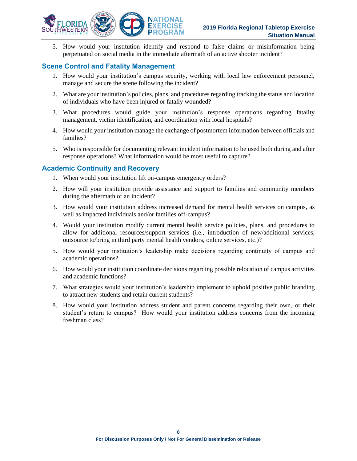

 5. How would your institution identify and respond to false claims or misinformation being perpetuated on social media in the immediate aftermath of an active shooter incident?

### **Scene Control and Fatality Management**

- 1. How would your institution's campus security, working with local law enforcement personnel, manage and secure the scene following the incident?
- 2. What are your institution's policies, plans, and procedures regarding tracking the status and location of individuals who have been injured or fatally wounded?
- 3. What procedures would guide your institution's response operations regarding fatality management, victim identification, and coordination with local hospitals?
- 4. How would your institution manage the exchange of postmortem information between officials and families?
- 5. Who is responsible for documenting relevant incident information to be used both during and after response operations? What information would be most useful to capture?

### **Academic Continuity and Recovery**

- 1. When would your institution lift on-campus emergency orders?
- 2. How will your institution provide assistance and support to families and community members during the aftermath of an incident?
- 3. How would your institution address increased demand for mental health services on campus, as well as impacted individuals and/or families off-campus?
- 4. Would your institution modify current mental health service policies, plans, and procedures to allow for additional resources/support services (i.e., introduction of new/additional services, outsource to/bring in third party mental health vendors, online services, etc.)?
- 5. How would your institution's leadership make decisions regarding continuity of campus and academic operations?
- 6. How would your institution coordinate decisions regarding possible relocation of campus activities and academic functions?
- 7. What strategies would your institution's leadership implement to uphold positive public branding to attract new students and retain current students?
- 8. How would your institution address student and parent concerns regarding their own, or their student's return to campus? How would your institution address concerns from the incoming freshman class?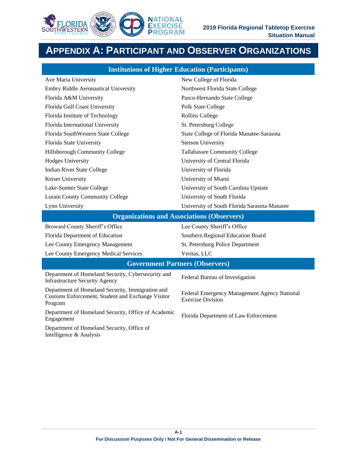

## **APPENDIX A: PARTICIPANT AND OBSERVER ORGANIZATIONS**

| <b>Institutions of Higher Education (Participants)</b> |                                              |  |  |  |
|--------------------------------------------------------|----------------------------------------------|--|--|--|
| Ave Maria University                                   | New College of Florida                       |  |  |  |
| Embry Riddle Aeronautical University                   | Northwest Florida State College              |  |  |  |
| Florida A&M University                                 | Pasco-Hernando State College                 |  |  |  |
| Florida Gulf Coast University                          | Polk State College                           |  |  |  |
| Florida Institute of Technology                        | Rollins College                              |  |  |  |
| Florida International University                       | St. Petersburg College                       |  |  |  |
| Florida SouthWestern State College                     | State College of Florida Manatee-Sarasota    |  |  |  |
| Florida State University                               | <b>Stetson University</b>                    |  |  |  |
| Hillsborough Community College                         | Tallahassee Community College                |  |  |  |
| <b>Hodges University</b>                               | University of Central Florida                |  |  |  |
| Indian River State College                             | University of Florida                        |  |  |  |
| Keiser University                                      | University of Miami                          |  |  |  |
| Lake-Sumter State College                              | University of South Carolina Upstate         |  |  |  |
| Lorain County Community College                        | University of South Florida                  |  |  |  |
| Lynn University                                        | University of South Florida Sarasota-Manatee |  |  |  |
| Organizations and Associations (Observans)             |                                              |  |  |  |

#### **Organizations and Associations (Observers)**

| Broward County Sheriff's Office                                                                                  | Lee County Sheriff's Office                                              |  |  |  |
|------------------------------------------------------------------------------------------------------------------|--------------------------------------------------------------------------|--|--|--|
| Florida Department of Education                                                                                  | Southern Regional Education Board                                        |  |  |  |
| Lee County Emergency Management                                                                                  | St. Petersburg Police Department                                         |  |  |  |
| Lee County Emergency Medical Services                                                                            | Veritas, LLC                                                             |  |  |  |
| <b>Government Partners (Observers)</b>                                                                           |                                                                          |  |  |  |
| Department of Homeland Security, Cybersecurity and<br><b>Infrastructure Security Agency</b>                      | Federal Bureau of Investigation                                          |  |  |  |
| Department of Homeland Security, Immigration and<br>Customs Enforcement, Student and Exchange Visitor<br>Program | Federal Emergency Management Agency National<br><b>Exercise Division</b> |  |  |  |
| Department of Homeland Security, Office of Academic<br>Engagement                                                | Florida Department of Law Enforcement                                    |  |  |  |
| $\mathbf{D}$ and $\mathbf{C}$ is the set of $\mathbf{D}$ and $\mathbf{C}$ is the set of $\mathbf{C}$             |                                                                          |  |  |  |

Department of Homeland Security, Office of Intelligence & Analysis